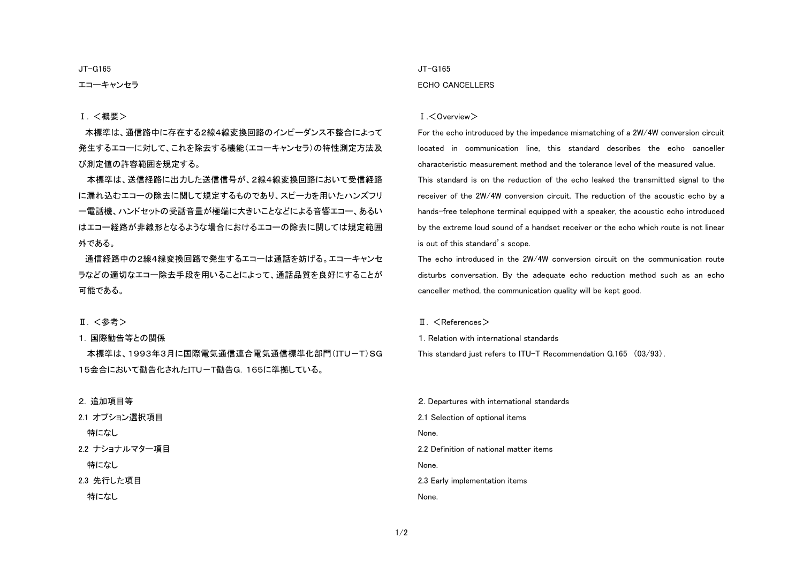JT-G165

### エコーキャンセラ

#### Ⅰ. <概要>

本標準は、通信路中に存在する2線4線変換回路のインピーダンス不整合によって発生するエコーに対して、これを除去する機能(エコーキャンセラ)の特性測定方法及 び測定値の許容範囲を規定する。

本標準は、送信経路に出力した送信信号が、2線4線変換回路において受信経路に漏れ込むエコーの除去に関して規定するものであり、スピーカを用いたハンズフリ ー電話機、ハンドセットの受話音量が極端に大きいことなどによる音響エコー、あるい はエコー経路が非線形となるような場合におけるエコーの除去に関しては規定範囲外である。

通信経路中の2線4線変換回路で発生するエコーは通話を妨げる。エコーキャンセ ラなどの適切なエコー除去手段を用いることによって、通話品質を良好にすることが可能である。

#### Ⅱ. <参考>

1. 国際勧告等との関係

本標準は、1993年3月に国際電気通信連合電気通信標準化部門(ITU-T)SG 15会合において勧告化されたITU-T勧告G.165に準拠している。

#### 2. 追加項目等

2.1 オプション選択項目 特になし 2.2 ナショナルマター項目 特になし 2.3 先行した項目 特になし

## JT-G165 ECHO CANCELLERS

#### Ⅰ.<Overview>

For the echo introduced by the impedance mismatching of a 2W/4W conversion circuit located in communication line, this standard describes the echo canceller characteristic measurement method and the tolerance level of the measured value. This standard is on the reduction of the echo leaked the transmitted signal to the receiver of the 2W/4W conversion circuit. The reduction of the acoustic echo by a hands-free telephone terminal equipped with a speaker, the acoustic echo introduced by the extreme loud sound of a handset receiver or the echo which route is not linear is out of this standard's scope.

The echo introduced in the 2W/4W conversion circuit on the communication route disturbs conversation. By the adequate echo reduction method such as an echo canceller method, the communication quality will be kept good.

#### $II. <$ References $>$

1. Relation with international standards This standard just refers to ITU-T Recommendation G.165 (03/93).

2. Departures with international standards 2.1 Selection of optional items None. 2.2 Definition of national matter items None. 2.3 Early implementation items None.